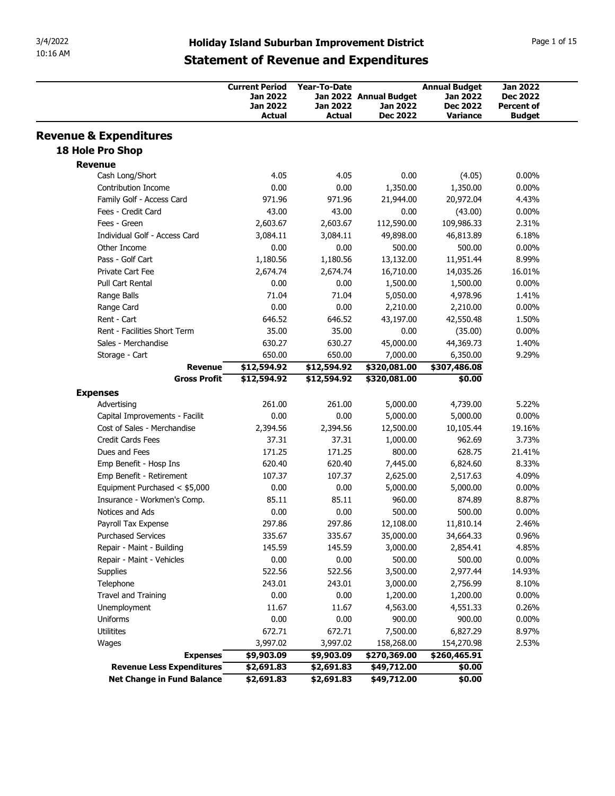|                                                                |                                                         |                                    | <b>Statement of Revenue and Expenditures</b>          | <b>Holiday Island Suburban Improvement District</b>                    |                                                                          |
|----------------------------------------------------------------|---------------------------------------------------------|------------------------------------|-------------------------------------------------------|------------------------------------------------------------------------|--------------------------------------------------------------------------|
|                                                                | <b>Current Period</b><br>Jan 2022<br>Jan 2022<br>Actual | Year-To-Date<br>Jan 2022<br>Actual | Jan 2022 Annual Budget<br>Jan 2022<br><b>Dec 2022</b> | <b>Annual Budget</b><br>Jan 2022<br><b>Dec 2022</b><br><b>Variance</b> | <b>Jan 2022</b><br><b>Dec 2022</b><br><b>Percent of</b><br><b>Budget</b> |
| <b>Revenue &amp; Expenditures</b>                              |                                                         |                                    |                                                       |                                                                        |                                                                          |
| 18 Hole Pro Shop                                               |                                                         |                                    |                                                       |                                                                        |                                                                          |
| <b>Revenue</b>                                                 |                                                         |                                    |                                                       |                                                                        |                                                                          |
| Cash Long/Short                                                | 4.05                                                    | 4.05                               | 0.00                                                  | (4.05)                                                                 | $0.00\%$                                                                 |
| Contribution Income                                            | 0.00                                                    | 0.00                               | 1,350.00                                              | 1,350.00                                                               | $0.00\%$                                                                 |
| Family Golf - Access Card<br>Fees - Credit Card                | 971.96<br>43.00                                         | 971.96<br>43.00                    | 21,944.00                                             | 20,972.04                                                              | 4.43%                                                                    |
| Fees - Green                                                   | 2,603.67                                                | 2,603.67                           | 0.00<br>112,590.00                                    | (43.00)<br>109,986.33                                                  | $0.00\%$<br>2.31%                                                        |
| Individual Golf - Access Card                                  | 3,084.11                                                | 3,084.11                           | 49,898.00                                             | 46,813.89                                                              | 6.18%                                                                    |
| Other Income                                                   | 0.00                                                    | 0.00                               | 500.00                                                | 500.00                                                                 | $0.00\%$                                                                 |
| Pass - Golf Cart                                               | 1,180.56                                                | 1,180.56                           | 13,132.00                                             | 11,951.44                                                              | 8.99%                                                                    |
| Private Cart Fee<br>Pull Cart Rental                           | 2,674.74<br>0.00                                        | 2,674.74                           | 16,710.00                                             | 14,035.26                                                              | 16.01%                                                                   |
| Range Balls                                                    | 71.04                                                   | 0.00<br>71.04                      | 1,500.00<br>5,050.00                                  | 1,500.00<br>4,978.96                                                   | $0.00\%$<br>1.41%                                                        |
| Range Card                                                     | 0.00                                                    | 0.00                               | 2,210.00                                              | 2,210.00                                                               | $0.00\%$                                                                 |
| Rent - Cart                                                    | 646.52                                                  | 646.52                             | 43,197.00                                             | 42,550.48                                                              | 1.50%                                                                    |
| Rent - Facilities Short Term                                   | 35.00                                                   | 35.00                              | 0.00                                                  | (35.00)                                                                | $0.00\%$                                                                 |
| Sales - Merchandise                                            | 630.27                                                  | 630.27                             | 45,000.00                                             | 44,369.73                                                              | 1.40%                                                                    |
| Storage - Cart<br><b>Revenue</b>                               | 650.00<br>\$12,594.92                                   | 650.00<br>\$12,594.92              | 7,000.00<br>\$320,081.00                              | 6,350.00<br>\$307,486.08                                               | 9.29%                                                                    |
| <b>Gross Profit</b>                                            | \$12,594.92                                             | \$12,594.92                        | \$320,081.00                                          | \$0.00                                                                 |                                                                          |
| <b>Expenses</b>                                                |                                                         |                                    |                                                       |                                                                        |                                                                          |
| Advertising                                                    | 261.00                                                  | 261.00                             | 5,000.00                                              | 4,739.00                                                               | 5.22%                                                                    |
| Capital Improvements - Facilit                                 | 0.00                                                    | 0.00                               | 5,000.00                                              | 5,000.00                                                               | $0.00\%$                                                                 |
| Cost of Sales - Merchandise<br>Credit Cards Fees               | 2,394.56<br>37.31                                       | 2,394.56<br>37.31                  | 12,500.00                                             | 10,105.44<br>962.69                                                    | 19.16%<br>3.73%                                                          |
| Dues and Fees                                                  | 171.25                                                  | 171.25                             | 1,000.00<br>800.00                                    | 628.75                                                                 | 21.41%                                                                   |
| Emp Benefit - Hosp Ins                                         | 620.40                                                  | 620.40                             | 7,445.00                                              | 6,824.60                                                               | 8.33%                                                                    |
| Emp Benefit - Retirement                                       | 107.37                                                  | 107.37                             | 2,625.00                                              | 2,517.63                                                               | 4.09%                                                                    |
| Equipment Purchased < \$5,000                                  | 0.00                                                    | 0.00                               | 5,000.00                                              | 5,000.00                                                               | $0.00\%$                                                                 |
| Insurance - Workmen's Comp.                                    | 85.11                                                   | 85.11                              | 960.00                                                | 874.89                                                                 | 8.87%                                                                    |
| Notices and Ads                                                | 0.00<br>297.86                                          | 0.00                               | 500.00<br>12,108.00                                   | 500.00                                                                 | $0.00\%$<br>2.46%                                                        |
| Payroll Tax Expense<br><b>Purchased Services</b>               | 335.67                                                  | 297.86<br>335.67                   | 35,000.00                                             | 11,810.14<br>34,664.33                                                 | 0.96%                                                                    |
| Repair - Maint - Building                                      | 145.59                                                  | 145.59                             | 3,000.00                                              | 2,854.41                                                               | 4.85%                                                                    |
| Repair - Maint - Vehicles                                      | 0.00                                                    | 0.00                               | 500.00                                                | 500.00                                                                 | $0.00\%$                                                                 |
| Supplies                                                       | 522.56                                                  | 522.56                             | 3,500.00                                              | 2,977.44                                                               | 14.93%                                                                   |
| Telephone                                                      | 243.01                                                  | 243.01                             | 3,000.00                                              | 2,756.99                                                               | 8.10%                                                                    |
| Travel and Training<br>Unemployment                            | 0.00<br>11.67                                           | 0.00<br>11.67                      | 1,200.00<br>4,563.00                                  | 1,200.00<br>4,551.33                                                   | $0.00\%$<br>0.26%                                                        |
| Uniforms                                                       | 0.00                                                    | 0.00                               | 900.00                                                | 900.00                                                                 | $0.00\%$                                                                 |
| Utilitites                                                     | 672.71                                                  | 672.71                             | 7,500.00                                              | 6,827.29                                                               | 8.97%                                                                    |
| Wages                                                          | 3,997.02                                                | 3,997.02                           | 158,268.00                                            | 154,270.98                                                             | 2.53%                                                                    |
| <b>Expenses</b>                                                | \$9,903.09                                              | \$9,903.09                         | \$270,369.00                                          | \$260,465.91                                                           |                                                                          |
| <b>Revenue Less Expenditures</b><br>Net Change in Fund Balance | \$2,691.83<br>\$2,691.83                                | \$2,691.83<br>\$2,691.83           | \$49,712.00<br>\$49,712.00                            | \$0.00<br>\$0.00                                                       |                                                                          |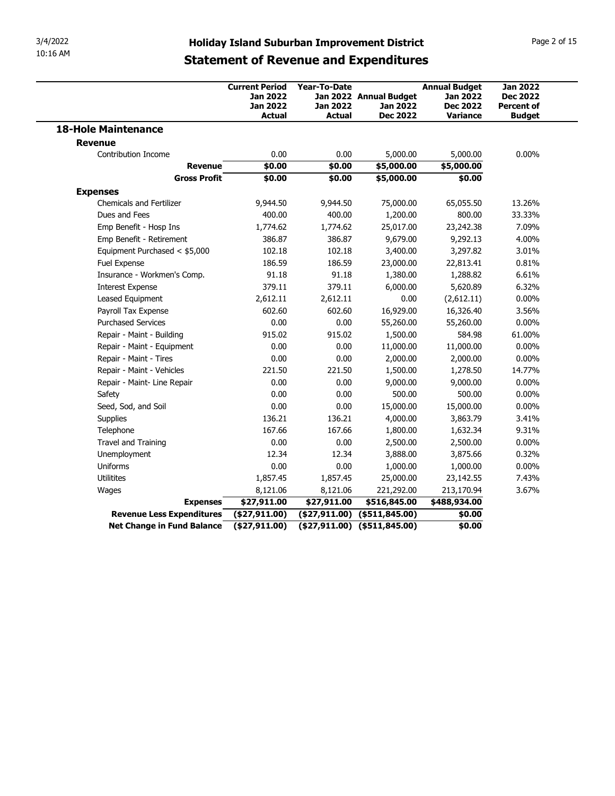| 3/4/2022<br>10:16 AM |                                                    |                                                                       |                                           |                                                       |                                                                               |                                                                          |
|----------------------|----------------------------------------------------|-----------------------------------------------------------------------|-------------------------------------------|-------------------------------------------------------|-------------------------------------------------------------------------------|--------------------------------------------------------------------------|
|                      |                                                    | <b>Holiday Island Suburban Improvement District</b>                   |                                           |                                                       |                                                                               | Page 2 of 15                                                             |
|                      |                                                    | <b>Statement of Revenue and Expenditures</b>                          |                                           |                                                       |                                                                               |                                                                          |
|                      |                                                    | <b>Current Period</b><br><b>Jan 2022</b><br>Jan 2022<br><b>Actual</b> | Year-To-Date<br>Jan 2022<br><b>Actual</b> | Jan 2022 Annual Budget<br>Jan 2022<br><b>Dec 2022</b> | <b>Annual Budget</b><br><b>Jan 2022</b><br><b>Dec 2022</b><br><b>Variance</b> | <b>Jan 2022</b><br><b>Dec 2022</b><br><b>Percent of</b><br><b>Budget</b> |
|                      | <b>18-Hole Maintenance</b>                         |                                                                       |                                           |                                                       |                                                                               |                                                                          |
|                      | <b>Revenue</b>                                     |                                                                       |                                           |                                                       |                                                                               |                                                                          |
|                      | Contribution Income<br><b>Revenue</b>              | 0.00<br>\$0.00                                                        | 0.00<br>\$0.00                            | 5,000.00<br>\$5,000.00                                | 5,000.00<br>\$5,000.00                                                        | $0.00\%$                                                                 |
|                      | <b>Gross Profit</b>                                | \$0.00                                                                | \$0.00                                    | \$5,000.00                                            | \$0.00                                                                        |                                                                          |
|                      | <b>Expenses</b><br><b>Chemicals and Fertilizer</b> | 9,944.50                                                              | 9,944.50                                  | 75,000.00                                             | 65,055.50                                                                     | 13.26%                                                                   |
|                      | Dues and Fees                                      | 400.00                                                                | 400.00                                    | 1,200.00                                              | 800.00                                                                        | 33.33%                                                                   |
|                      | Emp Benefit - Hosp Ins                             | 1,774.62                                                              | 1,774.62                                  | 25,017.00                                             | 23,242.38                                                                     | 7.09%                                                                    |
|                      | Emp Benefit - Retirement                           | 386.87                                                                | 386.87                                    | 9,679.00                                              | 9,292.13                                                                      | 4.00%                                                                    |
|                      | Equipment Purchased < \$5,000                      | 102.18                                                                | 102.18                                    | 3,400.00                                              | 3,297.82                                                                      | 3.01%                                                                    |
|                      | Fuel Expense                                       | 186.59                                                                | 186.59                                    | 23,000.00                                             | 22,813.41                                                                     | 0.81%                                                                    |
|                      | Insurance - Workmen's Comp.                        | 91.18                                                                 | 91.18                                     | 1,380.00                                              | 1,288.82                                                                      | 6.61%                                                                    |
|                      | <b>Interest Expense</b><br>Leased Equipment        | 379.11                                                                | 379.11                                    | 6,000.00<br>0.00                                      | 5,620.89                                                                      | 6.32%<br>$0.00\%$                                                        |
|                      | Payroll Tax Expense                                | 2,612.11<br>602.60                                                    | 2,612.11<br>602.60                        | 16,929.00                                             | (2,612.11)<br>16,326.40                                                       | 3.56%                                                                    |
|                      | <b>Purchased Services</b>                          | 0.00                                                                  | 0.00                                      | 55,260.00                                             | 55,260.00                                                                     | $0.00\%$                                                                 |
|                      | Repair - Maint - Building                          | 915.02                                                                | 915.02                                    | 1,500.00                                              | 584.98                                                                        | 61.00%                                                                   |
|                      | Repair - Maint - Equipment                         | 0.00                                                                  | 0.00                                      | 11,000.00                                             | 11,000.00                                                                     | $0.00\%$                                                                 |
|                      | Repair - Maint - Tires                             | 0.00                                                                  | 0.00                                      | 2,000.00                                              | 2,000.00                                                                      | $0.00\%$                                                                 |
|                      | Repair - Maint - Vehicles                          | 221.50                                                                | 221.50                                    | 1,500.00                                              | 1,278.50                                                                      | 14.77%                                                                   |
|                      | Repair - Maint- Line Repair                        | 0.00                                                                  | 0.00                                      | 9,000.00                                              | 9,000.00                                                                      | $0.00\%$                                                                 |
|                      | Safety                                             | 0.00                                                                  | 0.00                                      | 500.00                                                | 500.00                                                                        | $0.00\%$                                                                 |
|                      | Seed, Sod, and Soil                                | 0.00                                                                  | 0.00                                      | 15,000.00                                             | 15,000.00                                                                     | $0.00\%$                                                                 |
|                      | Supplies                                           | 136.21                                                                | 136.21                                    | 4,000.00                                              | 3,863.79                                                                      | 3.41%                                                                    |
|                      | Telephone                                          | 167.66                                                                | 167.66                                    | 1,800.00                                              | 1,632.34                                                                      | 9.31%                                                                    |
|                      | Travel and Training                                | 0.00                                                                  | 0.00                                      | 2,500.00                                              | 2,500.00                                                                      | $0.00\%$                                                                 |
|                      | Unemployment<br>Uniforms                           | 12.34<br>0.00                                                         | 12.34<br>0.00                             | 3,888.00                                              | 3,875.66                                                                      | 0.32%<br>$0.00\%$                                                        |
|                      | Utilitites                                         | 1,857.45                                                              | 1,857.45                                  | 1,000.00<br>25,000.00                                 | 1,000.00<br>23,142.55                                                         | 7.43%                                                                    |
|                      | Wages                                              | 8,121.06                                                              | 8,121.06                                  | 221,292.00                                            | 213,170.94                                                                    | 3.67%                                                                    |
|                      | <b>Expenses</b>                                    | \$27,911.00                                                           | \$27,911.00                               | \$516,845.00                                          | \$488,934.00                                                                  |                                                                          |
|                      | Revenue Less Expenditures                          | (\$27,911.00)                                                         |                                           | $($27,911.00)$ $($511,845.00)$                        | \$0.00                                                                        |                                                                          |
|                      | <b>Net Change in Fund Balance</b>                  | (\$27,911.00)                                                         | $($27,911.00)$ $($511,845.00)$            |                                                       |                                                                               |                                                                          |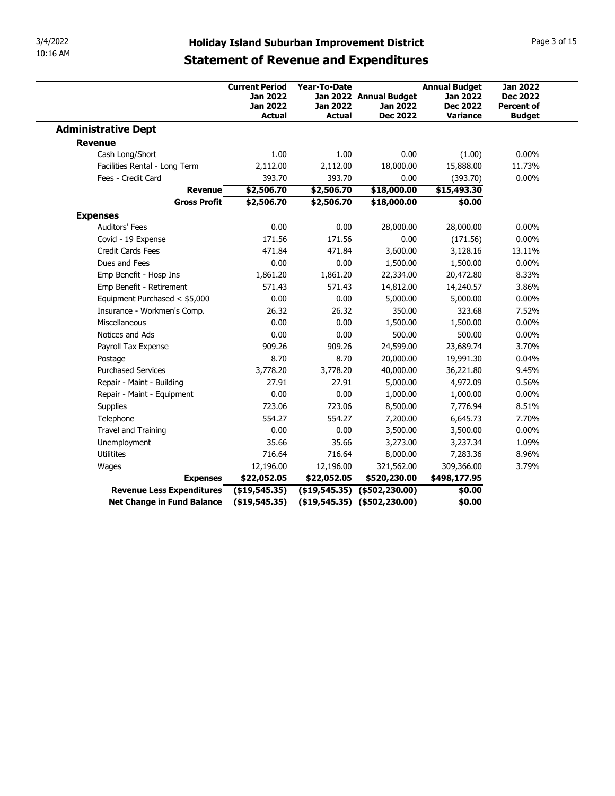| 3/4/2022                                            |                                                                                                     |                          |                                           |                                                            |                                                         |
|-----------------------------------------------------|-----------------------------------------------------------------------------------------------------|--------------------------|-------------------------------------------|------------------------------------------------------------|---------------------------------------------------------|
| 10:16 AM                                            | <b>Holiday Island Suburban Improvement District</b><br><b>Statement of Revenue and Expenditures</b> |                          |                                           |                                                            | Page 3 of 15                                            |
|                                                     | <b>Current Period</b><br>Jan 2022<br>Jan 2022                                                       | Year-To-Date<br>Jan 2022 | Jan 2022 Annual Budget<br><b>Jan 2022</b> | <b>Annual Budget</b><br><b>Jan 2022</b><br><b>Dec 2022</b> | <b>Jan 2022</b><br><b>Dec 2022</b><br><b>Percent of</b> |
| <b>Administrative Dept</b>                          | <b>Actual</b>                                                                                       | <b>Actual</b>            | <b>Dec 2022</b>                           | <b>Variance</b>                                            | <b>Budget</b>                                           |
|                                                     |                                                                                                     |                          |                                           |                                                            |                                                         |
| <b>Revenue</b>                                      |                                                                                                     |                          |                                           |                                                            |                                                         |
| Cash Long/Short                                     | 1.00                                                                                                | 1.00                     | 0.00                                      | (1.00)                                                     | $0.00\%$                                                |
| Facilities Rental - Long Term<br>Fees - Credit Card | 2,112.00<br>393.70                                                                                  | 2,112.00<br>393.70       | 18,000.00<br>0.00                         | 15,888.00                                                  | 11.73%<br>$0.00\%$                                      |
| <b>Revenue</b>                                      | \$2,506.70                                                                                          | \$2,506.70               |                                           | (393.70)                                                   |                                                         |
| <b>Gross Profit</b>                                 | \$2,506.70                                                                                          | \$2,506.70               | \$18,000.00<br>\$18,000.00                | \$15,493.30<br>\$0.00                                      |                                                         |
| <b>Expenses</b>                                     |                                                                                                     |                          |                                           |                                                            |                                                         |
| Auditors' Fees                                      | 0.00                                                                                                | 0.00                     | 28,000.00                                 | 28,000.00                                                  | $0.00\%$                                                |
| Covid - 19 Expense                                  | 171.56                                                                                              | 171.56                   | 0.00                                      | (171.56)                                                   | $0.00\%$                                                |
| Credit Cards Fees                                   | 471.84                                                                                              | 471.84                   | 3,600.00                                  | 3,128.16                                                   | 13.11%                                                  |
| Dues and Fees                                       | 0.00                                                                                                | 0.00                     | 1,500.00                                  | 1,500.00                                                   | $0.00\%$                                                |
| Emp Benefit - Hosp Ins                              | 1,861.20                                                                                            | 1,861.20                 | 22,334.00                                 | 20,472.80                                                  | 8.33%                                                   |
| Emp Benefit - Retirement                            | 571.43                                                                                              | 571.43                   | 14,812.00                                 | 14,240.57                                                  | 3.86%                                                   |
| Equipment Purchased < \$5,000                       | 0.00                                                                                                | 0.00                     | 5,000.00                                  | 5,000.00                                                   | $0.00\%$                                                |
| Insurance - Workmen's Comp.                         | 26.32                                                                                               | 26.32                    | 350.00                                    | 323.68                                                     | 7.52%                                                   |
| Miscellaneous                                       | 0.00                                                                                                | 0.00                     | 1,500.00                                  | 1,500.00                                                   | $0.00\%$                                                |
| Notices and Ads                                     | 0.00                                                                                                | 0.00                     | 500.00                                    | 500.00                                                     | $0.00\%$                                                |
| Payroll Tax Expense                                 | 909.26                                                                                              | 909.26                   | 24,599.00                                 | 23,689.74                                                  | 3.70%                                                   |
| Postage                                             | 8.70                                                                                                | 8.70                     | 20,000.00                                 | 19,991.30                                                  | 0.04%                                                   |
| <b>Purchased Services</b>                           | 3,778.20                                                                                            | 3,778.20                 | 40,000.00                                 | 36,221.80                                                  | 9.45%                                                   |
| Repair - Maint - Building                           | 27.91                                                                                               | 27.91                    | 5,000.00                                  | 4,972.09                                                   | 0.56%                                                   |
| Repair - Maint - Equipment                          | 0.00                                                                                                | 0.00                     | 1,000.00                                  | 1,000.00                                                   | $0.00\%$                                                |
| Supplies                                            | 723.06                                                                                              | 723.06                   | 8,500.00                                  | 7,776.94                                                   | 8.51%                                                   |
| Telephone                                           | 554.27                                                                                              | 554.27                   | 7,200.00                                  | 6,645.73                                                   | 7.70%                                                   |
| Travel and Training                                 | 0.00                                                                                                | 0.00                     | 3,500.00                                  | 3,500.00                                                   | $0.00\%$                                                |
| Unemployment                                        | 35.66                                                                                               | 35.66                    | 3,273.00                                  | 3,237.34                                                   | 1.09%                                                   |
| Utilitites                                          | 716.64                                                                                              | 716.64                   | 8,000.00                                  | 7,283.36                                                   | 8.96%                                                   |
|                                                     | 12,196.00                                                                                           | 12,196.00                | 321,562.00                                | 309,366.00                                                 | 3.79%                                                   |
| Wages                                               | \$22,052.05                                                                                         | \$22,052.05              | \$520,230.00                              | \$498,177.95                                               |                                                         |
| <b>Expenses</b>                                     | (\$19,545.35)                                                                                       |                          | $($ \$19,545.35) $($ \$502,230.00)        | \$0.00                                                     |                                                         |
| Revenue Less Expenditures                           |                                                                                                     |                          | $($19,545.35)$ $($502,230.00)$            |                                                            |                                                         |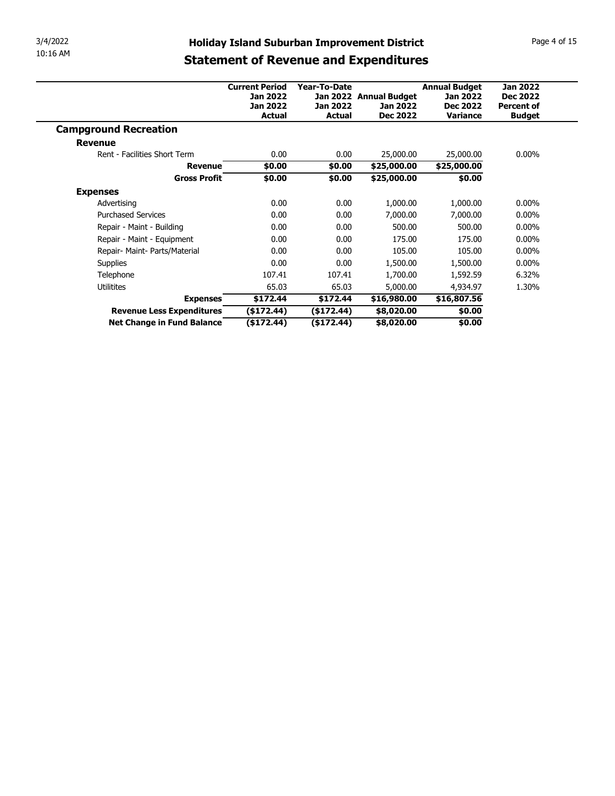| 3/4/2022                                                | <b>Holiday Island Suburban Improvement District</b> |                          |                          |                                         |                   | Page 4 of 15 |
|---------------------------------------------------------|-----------------------------------------------------|--------------------------|--------------------------|-----------------------------------------|-------------------|--------------|
| 10:16 AM                                                |                                                     |                          |                          |                                         |                   |              |
|                                                         | <b>Statement of Revenue and Expenditures</b>        |                          |                          |                                         |                   |              |
|                                                         | <b>Current Period</b>                               | Year-To-Date             |                          |                                         | <b>Jan 2022</b>   |              |
|                                                         | <b>Jan 2022</b>                                     |                          | Jan 2022 Annual Budget   | <b>Annual Budget</b><br><b>Jan 2022</b> | <b>Dec 2022</b>   |              |
|                                                         | <b>Jan 2022</b>                                     | <b>Jan 2022</b>          | Jan 2022                 | <b>Dec 2022</b>                         | <b>Percent of</b> |              |
|                                                         | <b>Actual</b>                                       | <b>Actual</b>            | <b>Dec 2022</b>          | Variance                                | <b>Budget</b>     |              |
|                                                         |                                                     |                          |                          |                                         |                   |              |
| <b>Campground Recreation</b>                            |                                                     |                          |                          |                                         |                   |              |
| <b>Revenue</b>                                          |                                                     |                          |                          |                                         |                   |              |
| Rent - Facilities Short Term                            | 0.00                                                | 0.00                     | 25,000.00                | 25,000.00                               | $0.00\%$          |              |
| <b>Revenue</b>                                          | \$0.00                                              | \$0.00                   | \$25,000.00              | \$25,000.00                             |                   |              |
| <b>Gross Profit</b>                                     | \$0.00                                              | \$0.00                   | \$25,000.00              | \$0.00                                  |                   |              |
| <b>Expenses</b>                                         |                                                     |                          |                          |                                         |                   |              |
| Advertising                                             | 0.00                                                | 0.00                     | 1,000.00                 | 1,000.00                                | $0.00\%$          |              |
| <b>Purchased Services</b>                               | 0.00                                                | 0.00                     | 7,000.00                 | 7,000.00                                | $0.00\%$          |              |
| Repair - Maint - Building                               | 0.00                                                | 0.00                     | 500.00                   | 500.00                                  | $0.00\%$          |              |
| Repair - Maint - Equipment                              | 0.00                                                | 0.00                     | 175.00                   | 175.00                                  | $0.00\%$          |              |
| Repair- Maint- Parts/Material                           | 0.00                                                | 0.00                     | 105.00                   | 105.00                                  | $0.00\%$          |              |
| Supplies                                                | 0.00                                                | 0.00                     | 1,500.00                 | 1,500.00                                | $0.00\%$          |              |
| Telephone                                               | 107.41                                              | 107.41                   | 1,700.00                 | 1,592.59                                | 6.32%             |              |
| Utilitites                                              | 65.03                                               | 65.03                    | 5,000.00                 | 4,934.97                                | 1.30%             |              |
| <b>Expenses</b>                                         | \$172.44                                            | \$172.44                 | \$16,980.00              | \$16,807.56                             |                   |              |
| Revenue Less Expenditures<br>Net Change in Fund Balance | (\$172.44)<br>$($ \$172.44 $)$                      | (\$172.44)<br>(\$172.44) | \$8,020.00<br>\$8,020.00 | \$0.00<br>\$0.00                        |                   |              |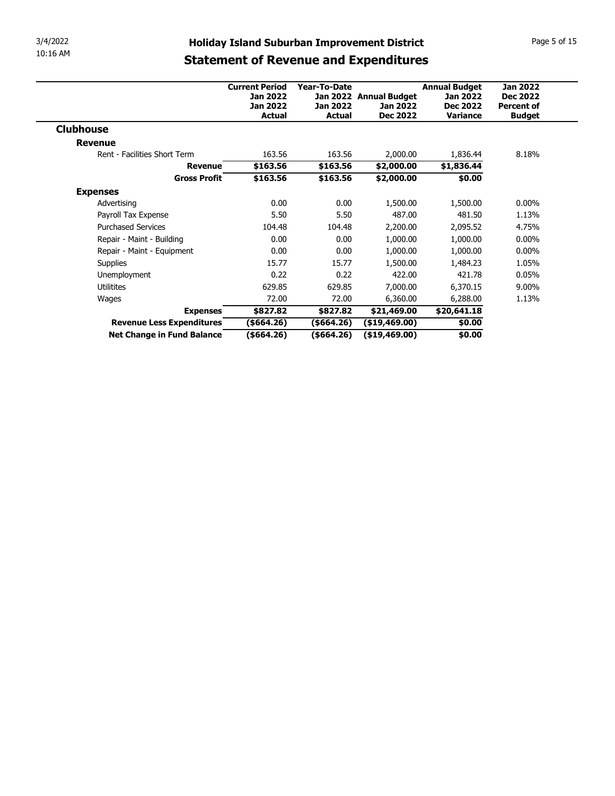| 3/4/2022                                                | <b>Holiday Island Suburban Improvement District</b> |                                |                                           |                                    | Page 5 of 15                         |  |
|---------------------------------------------------------|-----------------------------------------------------|--------------------------------|-------------------------------------------|------------------------------------|--------------------------------------|--|
| 10:16 AM                                                |                                                     |                                |                                           |                                    |                                      |  |
|                                                         | <b>Statement of Revenue and Expenditures</b>        |                                |                                           |                                    |                                      |  |
|                                                         |                                                     |                                |                                           |                                    |                                      |  |
|                                                         | <b>Current Period</b>                               | Year-To-Date                   | <b>Annual Budget</b>                      | <b>Jan 2022</b>                    |                                      |  |
|                                                         | Jan 2022<br><b>Jan 2022</b>                         | Jan 2022                       | Jan 2022 Annual Budget<br><b>Jan 2022</b> | <b>Jan 2022</b><br><b>Dec 2022</b> | <b>Dec 2022</b><br><b>Percent of</b> |  |
|                                                         | <b>Actual</b>                                       | <b>Actual</b>                  | <b>Dec 2022</b>                           | Variance                           | <b>Budget</b>                        |  |
| <b>Clubhouse</b>                                        |                                                     |                                |                                           |                                    |                                      |  |
|                                                         |                                                     |                                |                                           |                                    |                                      |  |
|                                                         |                                                     |                                |                                           |                                    |                                      |  |
| <b>Revenue</b>                                          |                                                     |                                |                                           |                                    |                                      |  |
| Rent - Facilities Short Term                            | 163.56                                              | 163.56                         | 2,000.00                                  | 1,836.44                           | 8.18%                                |  |
| <b>Revenue</b><br><b>Gross Profit</b>                   | \$163.56                                            | \$163.56                       | \$2,000.00                                | \$1,836.44                         |                                      |  |
|                                                         | \$163.56                                            | \$163.56                       | \$2,000.00                                | \$0.00                             |                                      |  |
| <b>Expenses</b>                                         |                                                     |                                |                                           |                                    |                                      |  |
| Advertising                                             | 0.00                                                | 0.00                           | 1,500.00                                  | 1,500.00                           | $0.00\%$                             |  |
| Payroll Tax Expense                                     | 5.50                                                | 5.50                           | 487.00                                    | 481.50                             | 1.13%                                |  |
| <b>Purchased Services</b>                               | 104.48                                              | 104.48                         | 2,200.00                                  | 2,095.52                           | 4.75%                                |  |
| Repair - Maint - Building                               | 0.00                                                | 0.00                           | 1,000.00                                  | 1,000.00                           | $0.00\%$                             |  |
| Repair - Maint - Equipment                              | 0.00                                                | 0.00                           | 1,000.00                                  | 1,000.00                           | $0.00\%$                             |  |
| Supplies                                                | 15.77                                               | 15.77                          | 1,500.00                                  | 1,484.23                           | 1.05%                                |  |
| Unemployment                                            | 0.22                                                | 0.22                           | 422.00                                    | 421.78                             | 0.05%                                |  |
| Utilitites                                              | 629.85                                              | 629.85                         | 7,000.00                                  | 6,370.15                           | 9.00%                                |  |
| Wages                                                   | 72.00                                               | 72.00                          | 6,360.00                                  | 6,288.00                           | 1.13%                                |  |
| <b>Expenses</b>                                         | \$827.82                                            | \$827.82                       | \$21,469.00                               | \$20,641.18                        |                                      |  |
| Revenue Less Expenditures<br>Net Change in Fund Balance | ( \$664.26)<br>$($ \$664.26)                        | $($ \$664.26)<br>$($ \$664.26) | (\$19,469.00)<br>(\$19,469.00)            | \$0.00<br>\$0.00                   |                                      |  |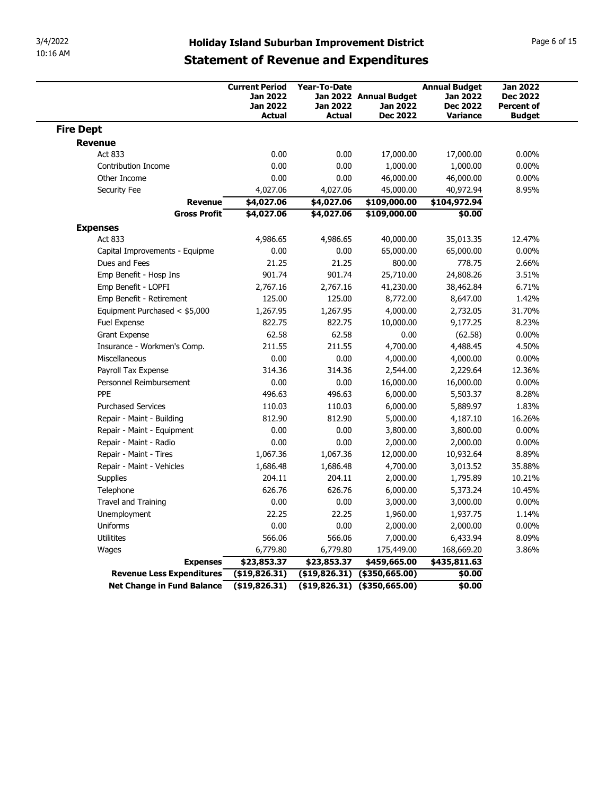| 3/4/2022                                                | <b>Holiday Island Suburban Improvement District</b> |                         |                                |                                         | Page 6 of 15                       |
|---------------------------------------------------------|-----------------------------------------------------|-------------------------|--------------------------------|-----------------------------------------|------------------------------------|
| 10:16 AM                                                | <b>Statement of Revenue and Expenditures</b>        |                         |                                |                                         |                                    |
|                                                         |                                                     |                         |                                |                                         |                                    |
|                                                         | <b>Current Period</b><br>Jan 2022                   | Year-To-Date            | Jan 2022 Annual Budget         | <b>Annual Budget</b><br><b>Jan 2022</b> | <b>Jan 2022</b><br><b>Dec 2022</b> |
|                                                         | Jan 2022                                            | Jan 2022                | <b>Jan 2022</b>                | <b>Dec 2022</b>                         | <b>Percent of</b>                  |
| <b>Fire Dept</b>                                        | <b>Actual</b>                                       | <b>Actual</b>           | <b>Dec 2022</b>                | <b>Variance</b>                         | <b>Budget</b>                      |
| <b>Revenue</b>                                          |                                                     |                         |                                |                                         |                                    |
| Act 833                                                 | 0.00                                                | 0.00                    | 17,000.00                      | 17,000.00                               | $0.00\%$                           |
| Contribution Income                                     | 0.00                                                | 0.00                    | 1,000.00                       | 1,000.00                                | $0.00\%$                           |
| Other Income<br>Security Fee                            | 0.00<br>4,027.06                                    | 0.00<br>4,027.06        | 46,000.00<br>45,000.00         | 46,000.00<br>40,972.94                  | $0.00\%$<br>8.95%                  |
|                                                         | \$4,027.06<br>Revenue                               | \$4,027.06              | \$109,000.00                   | \$104,972.94                            |                                    |
| <b>Gross Profit</b>                                     | \$4,027.06                                          | \$4,027.06              | \$109,000.00                   | \$0.00                                  |                                    |
| <b>Expenses</b><br>Act 833                              | 4,986.65                                            | 4,986.65                | 40,000.00                      | 35,013.35                               | 12.47%                             |
| Capital Improvements - Equipme                          | 0.00                                                | 0.00                    | 65,000.00                      | 65,000.00                               | $0.00\%$                           |
| Dues and Fees                                           | 21.25                                               | 21.25                   | 800.00                         | 778.75                                  | 2.66%                              |
| Emp Benefit - Hosp Ins                                  | 901.74                                              | 901.74                  | 25,710.00                      | 24,808.26                               | 3.51%                              |
| Emp Benefit - LOPFI<br>Emp Benefit - Retirement         | 2,767.16<br>125.00                                  | 2,767.16<br>125.00      | 41,230.00<br>8,772.00          | 38,462.84<br>8,647.00                   | 6.71%<br>1.42%                     |
| Equipment Purchased < \$5,000                           | 1,267.95                                            | 1,267.95                | 4,000.00                       | 2,732.05                                | 31.70%                             |
| Fuel Expense                                            | 822.75                                              | 822.75                  | 10,000.00                      | 9,177.25                                | 8.23%                              |
| Grant Expense                                           | 62.58                                               | 62.58                   | 0.00                           | (62.58)                                 | $0.00\%$                           |
| Insurance - Workmen's Comp.                             | 211.55                                              | 211.55                  | 4,700.00                       | 4,488.45                                | 4.50%                              |
| Miscellaneous<br>Payroll Tax Expense                    | 0.00<br>314.36                                      | 0.00<br>314.36          | 4,000.00<br>2,544.00           | 4,000.00<br>2,229.64                    | $0.00\%$<br>12.36%                 |
| Personnel Reimbursement                                 | 0.00                                                | 0.00                    | 16,000.00                      | 16,000.00                               | $0.00\%$                           |
| PPE                                                     | 496.63                                              | 496.63                  | 6,000.00                       | 5,503.37                                | 8.28%                              |
| <b>Purchased Services</b>                               | 110.03                                              | 110.03                  | 6,000.00                       | 5,889.97                                | 1.83%                              |
| Repair - Maint - Building<br>Repair - Maint - Equipment | 812.90<br>0.00                                      | 812.90<br>0.00          | 5,000.00<br>3,800.00           | 4,187.10<br>3,800.00                    | 16.26%<br>$0.00\%$                 |
| Repair - Maint - Radio                                  | 0.00                                                | 0.00                    | 2,000.00                       | 2,000.00                                | $0.00\%$                           |
| Repair - Maint - Tires                                  | 1,067.36                                            | 1,067.36                | 12,000.00                      | 10,932.64                               | 8.89%                              |
| Repair - Maint - Vehicles                               | 1,686.48                                            | 1,686.48                | 4,700.00                       | 3,013.52                                | 35.88%                             |
| Supplies<br>Telephone                                   | 204.11<br>626.76                                    | 204.11<br>626.76        | 2,000.00<br>6,000.00           | 1,795.89<br>5,373.24                    | 10.21%<br>10.45%                   |
| Travel and Training                                     | 0.00                                                | 0.00                    | 3,000.00                       | 3,000.00                                | $0.00\%$                           |
| Unemployment                                            | 22.25                                               | 22.25                   | 1,960.00                       | 1,937.75                                | 1.14%                              |
| Uniforms                                                | 0.00                                                | 0.00                    | 2,000.00                       | 2,000.00                                | $0.00\%$                           |
| Utilitites                                              | 566.06                                              | 566.06                  | 7,000.00                       | 6,433.94                                | 8.09%                              |
| Wages                                                   | 6,779.80<br>\$23,853.37<br><b>Expenses</b>          | 6,779.80<br>\$23,853.37 | 175,449.00<br>\$459,665.00     | 168,669.20<br>\$435,811.63              | 3.86%                              |
|                                                         |                                                     |                         |                                |                                         |                                    |
| Revenue Less Expenditures                               | (\$19,826.31)                                       |                         | $( $19,826.31)$ $$350,665.00)$ | \$0.00                                  |                                    |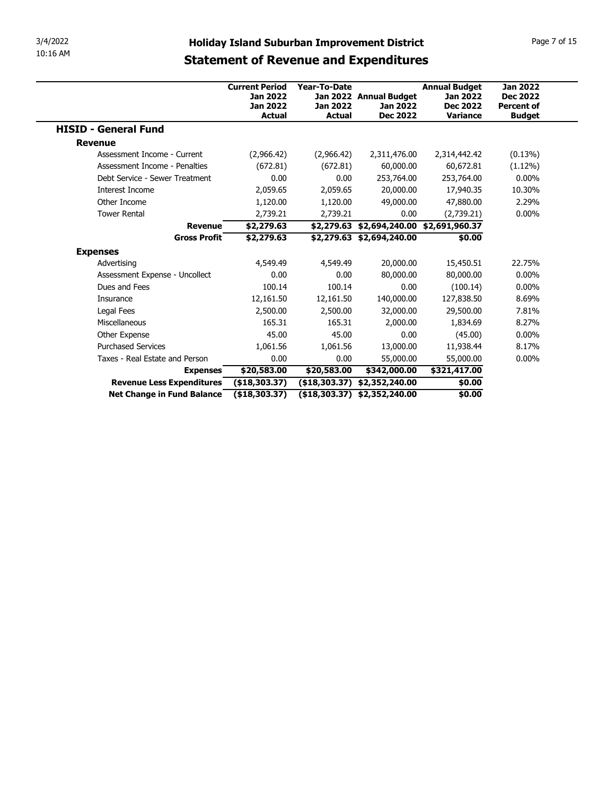| 3/4/2022                                     | <b>Holiday Island Suburban Improvement District</b> |                  |                                                                       |                                         | Page 7 of 15                       |
|----------------------------------------------|-----------------------------------------------------|------------------|-----------------------------------------------------------------------|-----------------------------------------|------------------------------------|
| 10:16 AM                                     |                                                     |                  |                                                                       |                                         |                                    |
|                                              | <b>Statement of Revenue and Expenditures</b>        |                  |                                                                       |                                         |                                    |
|                                              |                                                     |                  |                                                                       |                                         |                                    |
|                                              | <b>Current Period</b><br>Jan 2022                   | Year-To-Date     | Jan 2022 Annual Budget                                                | <b>Annual Budget</b><br><b>Jan 2022</b> | <b>Jan 2022</b><br><b>Dec 2022</b> |
|                                              | <b>Jan 2022</b>                                     | Jan 2022         | Jan 2022                                                              | <b>Dec 2022</b>                         | <b>Percent of</b>                  |
|                                              | <b>Actual</b>                                       | <b>Actual</b>    | <b>Dec 2022</b>                                                       | Variance                                | <b>Budget</b>                      |
| <b>HISID - General Fund</b>                  |                                                     |                  |                                                                       |                                         |                                    |
| <b>Revenue</b>                               |                                                     |                  |                                                                       |                                         |                                    |
| Assessment Income - Current                  | (2,966.42)                                          | (2,966.42)       | 2,311,476.00                                                          | 2,314,442.42                            | $(0.13\%)$                         |
| Assessment Income - Penalties                | (672.81)<br>0.00                                    | (672.81)<br>0.00 | 60,000.00                                                             | 60,672.81                               | $(1.12\%)$                         |
|                                              |                                                     |                  | 253,764.00                                                            | 253,764.00                              | $0.00\%$                           |
| Debt Service - Sewer Treatment               |                                                     |                  |                                                                       |                                         |                                    |
| Interest Income                              | 2,059.65                                            | 2,059.65         | 20,000.00                                                             | 17,940.35                               | 10.30%                             |
| Other Income                                 | 1,120.00                                            | 1,120.00         | 49,000.00                                                             | 47,880.00                               | 2.29%                              |
| <b>Tower Rental</b>                          | 2,739.21                                            | 2,739.21         | 0.00                                                                  | (2,739.21)                              | $0.00\%$                           |
| Revenue<br><b>Gross Profit</b>               | \$2,279.63<br>\$2,279.63                            |                  | \$2,279.63 \$2,694,240.00 \$2,691,960.37<br>\$2,279.63 \$2,694,240.00 | \$0.00                                  |                                    |
|                                              |                                                     |                  |                                                                       |                                         |                                    |
| <b>Expenses</b><br>Advertising               | 4,549.49                                            | 4,549.49         | 20,000.00                                                             | 15,450.51                               | 22.75%                             |
| Assessment Expense - Uncollect               | 0.00                                                | 0.00             | 80,000.00                                                             | 80,000.00                               | $0.00\%$                           |
| Dues and Fees                                | 100.14                                              | 100.14           | 0.00                                                                  | (100.14)                                | $0.00\%$                           |
| Insurance                                    | 12,161.50                                           | 12,161.50        | 140,000.00                                                            | 127,838.50                              | 8.69%                              |
| Legal Fees                                   | 2,500.00                                            | 2,500.00         | 32,000.00                                                             | 29,500.00                               | 7.81%                              |
| Miscellaneous                                | 165.31                                              | 165.31           | 2,000.00                                                              | 1,834.69                                | 8.27%                              |
| Other Expense                                | 45.00                                               | 45.00            | 0.00                                                                  | (45.00)                                 | $0.00\%$                           |
| <b>Purchased Services</b>                    | 1,061.56                                            | 1,061.56         | 13,000.00                                                             | 11,938.44                               | 8.17%                              |
| Taxes - Real Estate and Person               | 0.00                                                | 0.00             | 55,000.00                                                             | 55,000.00                               | $0.00\%$                           |
| <b>Expenses</b><br>Revenue Less Expenditures | \$20,583.00<br>(\$18,303.37)                        | \$20,583.00      | \$342,000.00<br>( \$18,303.37) \$2,352,240.00                         | \$321,417.00<br>\$0.00                  |                                    |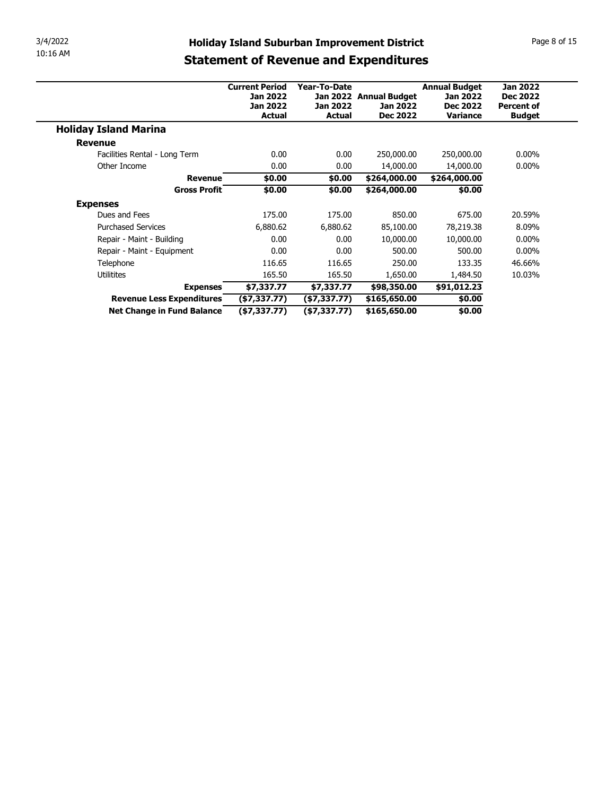| 3/4/2022        |                                              | <b>Holiday Island Suburban Improvement District</b> |                                  |                                    |                                         |                                    | Page 8 of 15 |
|-----------------|----------------------------------------------|-----------------------------------------------------|----------------------------------|------------------------------------|-----------------------------------------|------------------------------------|--------------|
| 10:16 AM        |                                              | <b>Statement of Revenue and Expenditures</b>        |                                  |                                    |                                         |                                    |              |
|                 |                                              |                                                     |                                  |                                    |                                         |                                    |              |
|                 |                                              | <b>Current Period</b><br>Jan 2022                   | Year-To-Date                     | Jan 2022 Annual Budget             | <b>Annual Budget</b><br><b>Jan 2022</b> | <b>Jan 2022</b><br><b>Dec 2022</b> |              |
|                 |                                              |                                                     |                                  |                                    |                                         |                                    |              |
|                 |                                              | Jan 2022<br><b>Actual</b>                           | <b>Jan 2022</b><br><b>Actual</b> | <b>Jan 2022</b><br><b>Dec 2022</b> | <b>Dec 2022</b><br>Variance             | <b>Percent of</b><br><b>Budget</b> |              |
|                 |                                              |                                                     |                                  |                                    |                                         |                                    |              |
| <b>Revenue</b>  | <b>Holiday Island Marina</b>                 |                                                     |                                  |                                    |                                         |                                    |              |
|                 | Facilities Rental - Long Term                | 0.00                                                | 0.00                             | 250,000.00                         | 250,000.00                              | $0.00\%$                           |              |
|                 | Other Income                                 | 0.00                                                | 0.00                             | 14,000.00                          | 14,000.00                               | $0.00\%$                           |              |
|                 | <b>Revenue</b>                               | \$0.00                                              | \$0.00                           | \$264,000.00                       | \$264,000.00                            |                                    |              |
|                 | <b>Gross Profit</b>                          | \$0.00                                              | \$0.00                           | \$264,000.00                       | \$0.00                                  |                                    |              |
| <b>Expenses</b> |                                              |                                                     |                                  |                                    |                                         |                                    |              |
|                 | Dues and Fees                                | 175.00                                              | 175.00                           | 850.00                             | 675.00                                  | 20.59%                             |              |
|                 | <b>Purchased Services</b>                    | 6,880.62                                            | 6,880.62                         | 85,100.00                          | 78,219.38                               | 8.09%                              |              |
|                 | Repair - Maint - Building                    | 0.00                                                | 0.00                             | 10,000.00                          | 10,000.00                               | $0.00\%$                           |              |
|                 | Repair - Maint - Equipment                   | 0.00                                                | 0.00                             | 500.00                             | 500.00                                  | $0.00\%$                           |              |
|                 | Telephone                                    | 116.65                                              | 116.65                           | 250.00                             | 133.35                                  | 46.66%                             |              |
|                 | Utilitites                                   | 165.50                                              | 165.50                           | 1,650.00                           | 1,484.50                                | 10.03%                             |              |
|                 | <b>Expenses</b><br>Revenue Less Expenditures | \$7,337.77<br>(\$7,337.77)                          | \$7,337.77<br>(\$7,337.77)       | \$98,350.00<br>\$165,650.00        | \$91,012.23<br>\$0.00                   |                                    |              |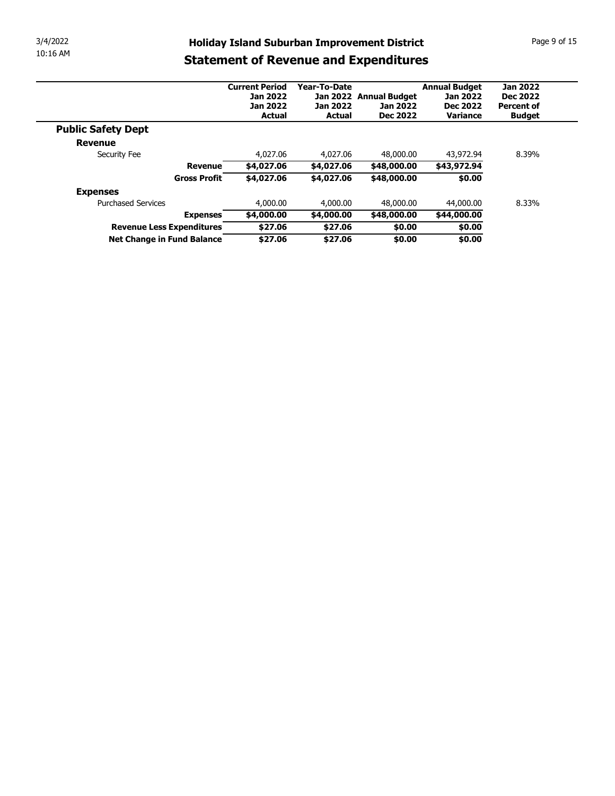| 3/4/2022<br>10:16 AM |                                              |                                  |                                  |                                                     |                      |                   |
|----------------------|----------------------------------------------|----------------------------------|----------------------------------|-----------------------------------------------------|----------------------|-------------------|
|                      |                                              |                                  |                                  | <b>Holiday Island Suburban Improvement District</b> |                      | Page 9 of 15      |
|                      |                                              |                                  |                                  |                                                     |                      |                   |
|                      |                                              |                                  |                                  | <b>Statement of Revenue and Expenditures</b>        |                      |                   |
|                      |                                              | <b>Current Period</b>            | Year-To-Date                     |                                                     | <b>Annual Budget</b> | <b>Jan 2022</b>   |
|                      |                                              | <b>Jan 2022</b>                  |                                  | Jan 2022 Annual Budget                              | Jan 2022             | <b>Dec 2022</b>   |
|                      |                                              | <b>Jan 2022</b><br><b>Actual</b> | <b>Jan 2022</b><br><b>Actual</b> | <b>Jan 2022</b><br><b>Dec 2022</b>                  | <b>Dec 2022</b>      | <b>Percent of</b> |
|                      |                                              |                                  |                                  |                                                     | Variance             | <b>Budget</b>     |
|                      | <b>Public Safety Dept</b>                    |                                  |                                  |                                                     |                      |                   |
|                      | <b>Revenue</b><br>Security Fee               | 4,027.06                         | 4,027.06                         | 48,000.00                                           | 43,972.94            | 8.39%             |
|                      | <b>Revenue</b>                               | \$4,027.06                       | \$4,027.06                       | \$48,000.00                                         | \$43,972.94          |                   |
|                      | <b>Gross Profit</b>                          | \$4,027.06                       | \$4,027.06                       | \$48,000.00                                         | \$0.00               |                   |
|                      |                                              |                                  |                                  |                                                     |                      |                   |
|                      | <b>Expenses</b><br><b>Purchased Services</b> | 4,000.00                         | 4,000.00                         | 48,000.00                                           | 44,000.00            | 8.33%             |
|                      | <b>Expenses</b>                              | \$4,000.00                       | \$4,000.00                       | \$48,000.00                                         | \$44,000.00          |                   |
|                      | Revenue Less Expenditures                    | \$27.06<br>\$27.06               | \$27.06<br>\$27.06               | \$0.00                                              | \$0.00               |                   |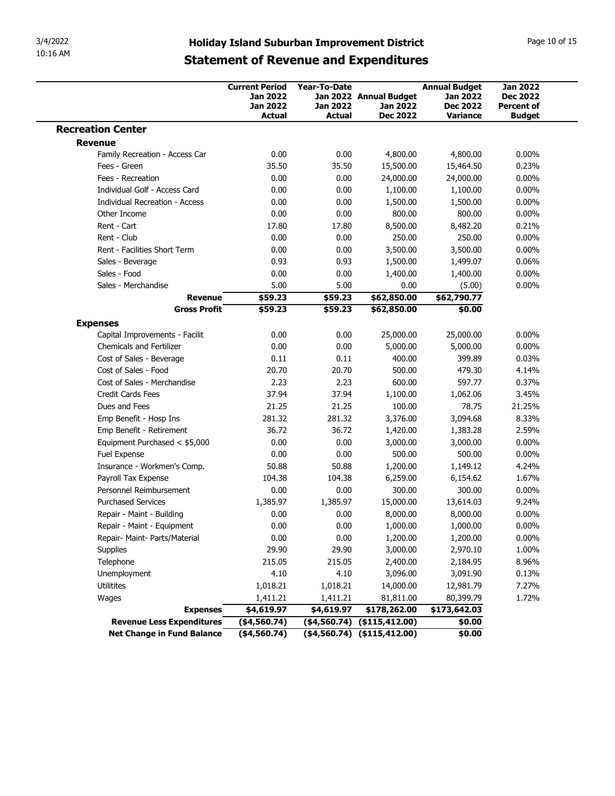| 3/4/2022<br>10:16 AM                                        |                                                                                                     |                                  |                                                       |                                                       |                                                       |
|-------------------------------------------------------------|-----------------------------------------------------------------------------------------------------|----------------------------------|-------------------------------------------------------|-------------------------------------------------------|-------------------------------------------------------|
|                                                             | <b>Holiday Island Suburban Improvement District</b><br><b>Statement of Revenue and Expenditures</b> |                                  |                                                       |                                                       | Page 10 of 15                                         |
|                                                             | <b>Current Period</b>                                                                               | Year-To-Date                     |                                                       | <b>Annual Budget</b>                                  | <b>Jan 2022</b>                                       |
|                                                             | <b>Jan 2022</b><br><b>Jan 2022</b><br><b>Actual</b>                                                 | <b>Jan 2022</b><br><b>Actual</b> | Jan 2022 Annual Budget<br>Jan 2022<br><b>Dec 2022</b> | <b>Jan 2022</b><br><b>Dec 2022</b><br><b>Variance</b> | <b>Dec 2022</b><br><b>Percent of</b><br><b>Budget</b> |
| <b>Recreation Center</b>                                    |                                                                                                     |                                  |                                                       |                                                       |                                                       |
| <b>Revenue</b>                                              |                                                                                                     |                                  |                                                       |                                                       |                                                       |
| Family Recreation - Access Car<br>Fees - Green              | 0.00<br>35.50                                                                                       | 0.00<br>35.50                    | 4,800.00<br>15,500.00                                 | 4,800.00<br>15,464.50                                 | $0.00\%$<br>0.23%                                     |
| Fees - Recreation                                           | 0.00                                                                                                | 0.00                             | 24,000.00                                             | 24,000.00                                             | $0.00\%$                                              |
| Individual Golf - Access Card                               | 0.00                                                                                                | 0.00                             | 1,100.00                                              | 1,100.00                                              | $0.00\%$                                              |
| <b>Individual Recreation - Access</b>                       | 0.00                                                                                                | 0.00                             | 1,500.00                                              | 1,500.00                                              | $0.00\%$                                              |
| Other Income                                                | 0.00                                                                                                | 0.00                             | 800.00                                                | 800.00                                                | $0.00\%$                                              |
| Rent - Cart                                                 | 17.80                                                                                               | 17.80                            | 8,500.00                                              | 8,482.20                                              | 0.21%                                                 |
| Rent - Club                                                 | 0.00                                                                                                | 0.00                             | 250.00                                                | 250.00                                                | $0.00\%$                                              |
| Rent - Facilities Short Term                                | 0.00                                                                                                | 0.00                             | 3,500.00                                              | 3,500.00                                              | $0.00\%$                                              |
| Sales - Beverage<br>Sales - Food                            | 0.93<br>0.00                                                                                        | 0.93<br>0.00                     | 1,500.00<br>1,400.00                                  | 1,499.07<br>1,400.00                                  | 0.06%<br>$0.00\%$                                     |
| Sales - Merchandise                                         | 5.00                                                                                                | 5.00                             | 0.00                                                  | (5.00)                                                | $0.00\%$                                              |
| <b>Revenue</b>                                              | \$59.23                                                                                             | \$59.23                          | \$62,850.00                                           | \$62,790.77                                           |                                                       |
| <b>Gross Profit</b>                                         | \$59.23                                                                                             | \$59.23                          | \$62,850.00                                           | \$0.00                                                |                                                       |
| <b>Expenses</b>                                             |                                                                                                     |                                  |                                                       |                                                       |                                                       |
| Capital Improvements - Facilit                              | 0.00                                                                                                | 0.00                             | 25,000.00                                             | 25,000.00                                             | $0.00\%$                                              |
| <b>Chemicals and Fertilizer</b><br>Cost of Sales - Beverage | 0.00<br>0.11                                                                                        | 0.00<br>0.11                     | 5,000.00<br>400.00                                    | 5,000.00<br>399.89                                    | $0.00\%$<br>0.03%                                     |
| Cost of Sales - Food                                        | 20.70                                                                                               | 20.70                            | 500.00                                                | 479.30                                                | 4.14%                                                 |
| Cost of Sales - Merchandise                                 | 2.23                                                                                                | 2.23                             | 600.00                                                | 597.77                                                | 0.37%                                                 |
| Credit Cards Fees                                           | 37.94                                                                                               | 37.94                            | 1,100.00                                              | 1,062.06                                              | 3.45%                                                 |
| Dues and Fees                                               | 21.25                                                                                               | 21.25                            | 100.00                                                | 78.75                                                 | 21.25%                                                |
| Emp Benefit - Hosp Ins                                      | 281.32                                                                                              | 281.32                           | 3,376.00                                              | 3,094.68                                              | 8.33%                                                 |
| Emp Benefit - Retirement                                    | 36.72                                                                                               | 36.72                            | 1,420.00                                              | 1,383.28                                              | 2.59%                                                 |
| Equipment Purchased < \$5,000                               | 0.00                                                                                                | 0.00                             | 3,000.00<br>500.00                                    | 3,000.00                                              | $0.00\%$                                              |
| Fuel Expense<br>Insurance - Workmen's Comp.                 | 0.00<br>50.88                                                                                       | 0.00<br>50.88                    | 1,200.00                                              | 500.00<br>1,149.12                                    | $0.00\%$<br>4.24%                                     |
| Payroll Tax Expense                                         | 104.38                                                                                              | 104.38                           | 6,259.00                                              | 6,154.62                                              | 1.67%                                                 |
| Personnel Reimbursement                                     | 0.00                                                                                                | 0.00                             | 300.00                                                | 300.00                                                | $0.00\%$                                              |
| <b>Purchased Services</b>                                   | 1,385.97                                                                                            | 1,385.97                         | 15,000.00                                             | 13,614.03                                             | 9.24%                                                 |
| Repair - Maint - Building                                   | 0.00                                                                                                | 0.00                             | 8,000.00                                              | 8,000.00                                              | $0.00\%$                                              |
| Repair - Maint - Equipment                                  | 0.00                                                                                                | 0.00                             | 1,000.00                                              | 1,000.00                                              | $0.00\%$                                              |
| Repair- Maint- Parts/Material                               | 0.00                                                                                                | 0.00                             | 1,200.00                                              | 1,200.00                                              | $0.00\%$                                              |
| Supplies                                                    | 29.90                                                                                               | 29.90                            | 3,000.00                                              | 2,970.10                                              | 1.00%                                                 |
| Telephone                                                   | 215.05                                                                                              | 215.05                           | 2,400.00                                              | 2,184.95                                              | 8.96%                                                 |
| Unemployment<br>Utilitites                                  | 4.10<br>1,018.21                                                                                    | 4.10<br>1,018.21                 | 3,096.00<br>14,000.00                                 | 3,091.90<br>12,981.79                                 | 0.13%<br>7.27%                                        |
| Wages                                                       | 1,411.21                                                                                            | 1,411.21                         | 81,811.00                                             | 80,399.79                                             | 1.72%                                                 |
|                                                             |                                                                                                     | \$4,619.97                       | \$178,262.00                                          | \$173,642.03                                          |                                                       |
|                                                             |                                                                                                     |                                  |                                                       |                                                       |                                                       |
| <b>Expenses</b><br><b>Revenue Less Expenditures</b>         | \$4,619.97<br>$($ \$4,560.74)                                                                       |                                  | $(4,560.74)$ $(415,412.00)$                           | \$0.00                                                |                                                       |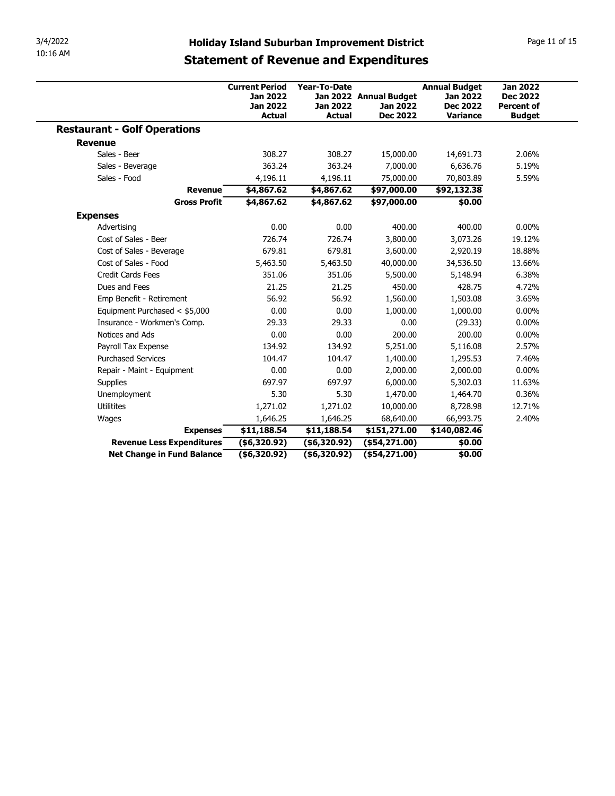| 3/4/2022                                            |                                              |                              |                                                     |                          |                   |
|-----------------------------------------------------|----------------------------------------------|------------------------------|-----------------------------------------------------|--------------------------|-------------------|
|                                                     |                                              |                              |                                                     |                          |                   |
|                                                     |                                              |                              | <b>Holiday Island Suburban Improvement District</b> |                          | Page 11 of 15     |
| 10:16 AM                                            | <b>Statement of Revenue and Expenditures</b> |                              |                                                     |                          |                   |
|                                                     |                                              |                              |                                                     |                          |                   |
|                                                     | <b>Current Period</b>                        | Year-To-Date                 |                                                     | <b>Annual Budget</b>     | <b>Jan 2022</b>   |
|                                                     | <b>Jan 2022</b>                              |                              | Jan 2022 Annual Budget                              | <b>Jan 2022</b>          | <b>Dec 2022</b>   |
|                                                     | <b>Jan 2022</b>                              | <b>Jan 2022</b>              | <b>Jan 2022</b>                                     | <b>Dec 2022</b>          | <b>Percent of</b> |
|                                                     | <b>Actual</b>                                | <b>Actual</b>                | <b>Dec 2022</b>                                     | Variance                 | <b>Budget</b>     |
| <b>Restaurant - Golf Operations</b>                 |                                              |                              |                                                     |                          |                   |
| <b>Revenue</b>                                      |                                              |                              |                                                     |                          |                   |
| Sales - Beer                                        | 308.27                                       | 308.27                       | 15,000.00                                           | 14,691.73                | 2.06%<br>5.19%    |
| Sales - Beverage<br>Sales - Food                    | 363.24                                       | 363.24                       | 7,000.00                                            | 6,636.76                 | 5.59%             |
| <b>Revenue</b>                                      | 4,196.11<br>\$4,867.62                       | 4,196.11<br>\$4,867.62       | 75,000.00<br>\$97,000.00                            | 70,803.89<br>\$92,132.38 |                   |
| <b>Gross Profit</b>                                 | \$4,867.62                                   | \$4,867.62                   | \$97,000.00                                         | \$0.00                   |                   |
|                                                     |                                              |                              |                                                     |                          |                   |
| <b>Expenses</b>                                     |                                              |                              |                                                     |                          |                   |
| Advertising                                         | 0.00                                         | 0.00                         | 400.00                                              | 400.00                   | $0.00\%$          |
| Cost of Sales - Beer<br>Cost of Sales - Beverage    | 726.74<br>679.81                             | 726.74<br>679.81             | 3,800.00                                            | 3,073.26                 | 19.12%<br>18.88%  |
| Cost of Sales - Food                                | 5,463.50                                     | 5,463.50                     | 3,600.00<br>40,000.00                               | 2,920.19<br>34,536.50    | 13.66%            |
| Credit Cards Fees                                   | 351.06                                       | 351.06                       | 5,500.00                                            | 5,148.94                 | 6.38%             |
| Dues and Fees                                       | 21.25                                        | 21.25                        | 450.00                                              | 428.75                   | 4.72%             |
| Emp Benefit - Retirement                            | 56.92                                        | 56.92                        | 1,560.00                                            | 1,503.08                 | 3.65%             |
|                                                     | 0.00                                         | 0.00                         | 1,000.00                                            | 1,000.00                 | $0.00\%$          |
|                                                     |                                              | 29.33                        | 0.00                                                | (29.33)                  | $0.00\%$          |
| Equipment Purchased < \$5,000                       |                                              | 0.00                         | 200.00                                              | 200.00                   | $0.00\%$          |
| Insurance - Workmen's Comp.                         | 29.33                                        |                              | 5,251.00                                            | 5,116.08                 | 2.57%             |
| Notices and Ads                                     | 0.00                                         |                              |                                                     |                          | 7.46%             |
| Payroll Tax Expense                                 | 134.92                                       | 134.92                       |                                                     |                          |                   |
| <b>Purchased Services</b>                           | 104.47                                       | 104.47                       | 1,400.00                                            | 1,295.53                 |                   |
| Repair - Maint - Equipment                          | 0.00                                         | 0.00                         | 2,000.00                                            | 2,000.00                 | $0.00\%$          |
| Supplies                                            | 697.97                                       | 697.97                       | 6,000.00                                            | 5,302.03                 | 11.63%            |
| Unemployment                                        | 5.30                                         | 5.30                         | 1,470.00                                            | 1,464.70                 | 0.36%             |
| Utilitites                                          | 1,271.02                                     | 1,271.02                     | 10,000.00                                           | 8,728.98                 | 12.71%            |
| Wages                                               | 1,646.25                                     | 1,646.25                     | 68,640.00                                           | 66,993.75                | 2.40%             |
| <b>Expenses</b><br><b>Revenue Less Expenditures</b> | \$11,188.54<br>( \$6,320.92)                 | \$11,188.54<br>( \$6,320.92) | \$151,271.00<br>$($ \$54,271.00)                    | \$140,082.46<br>\$0.00   |                   |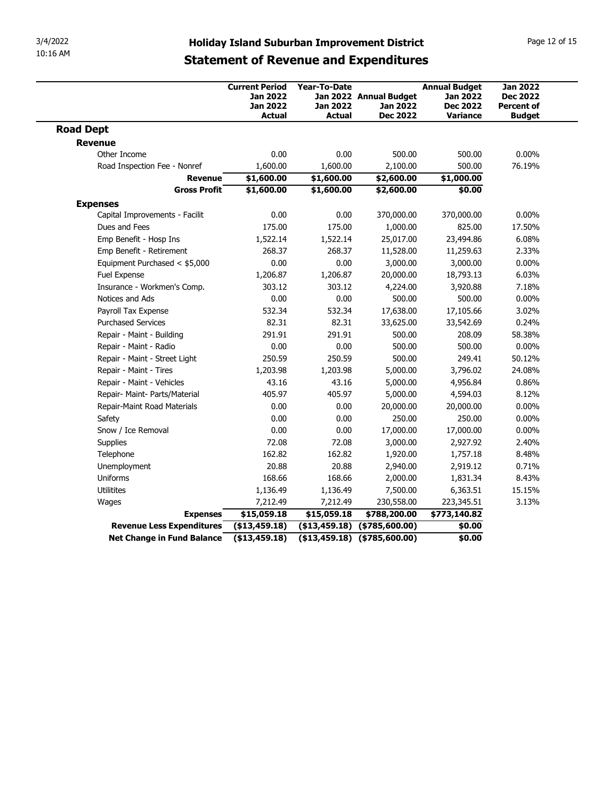| 3/4/2022                                                     |                                                             |                                 |                                                     |                                                            |                                                         |
|--------------------------------------------------------------|-------------------------------------------------------------|---------------------------------|-----------------------------------------------------|------------------------------------------------------------|---------------------------------------------------------|
|                                                              |                                                             |                                 |                                                     |                                                            |                                                         |
|                                                              |                                                             |                                 |                                                     |                                                            |                                                         |
| 10:16 AM                                                     | <b>Statement of Revenue and Expenditures</b>                |                                 | <b>Holiday Island Suburban Improvement District</b> |                                                            | Page 12 of 15                                           |
|                                                              | <b>Current Period</b><br><b>Jan 2022</b><br><b>Jan 2022</b> | <b>Year-To-Date</b><br>Jan 2022 | Jan 2022 Annual Budget<br><b>Jan 2022</b>           | <b>Annual Budget</b><br><b>Jan 2022</b><br><b>Dec 2022</b> | <b>Jan 2022</b><br><b>Dec 2022</b><br><b>Percent of</b> |
|                                                              | <b>Actual</b>                                               | <b>Actual</b>                   | <b>Dec 2022</b>                                     | Variance                                                   | <b>Budget</b>                                           |
| <b>Road Dept</b>                                             |                                                             |                                 |                                                     |                                                            |                                                         |
| <b>Revenue</b>                                               |                                                             |                                 |                                                     |                                                            |                                                         |
| Other Income<br>Road Inspection Fee - Nonref                 | 0.00<br>1,600.00                                            | 0.00<br>1,600.00                | 500.00<br>2,100.00                                  | 500.00<br>500.00                                           | $0.00\%$<br>76.19%                                      |
| <b>Revenue</b>                                               | \$1,600.00                                                  | \$1,600.00                      | \$2,600.00                                          | \$1,000.00                                                 |                                                         |
| <b>Gross Profit</b>                                          | \$1,600.00                                                  | \$1,600.00                      | \$2,600.00                                          | \$0.00                                                     |                                                         |
| <b>Expenses</b>                                              |                                                             |                                 |                                                     |                                                            |                                                         |
| Capital Improvements - Facilit                               | 0.00                                                        | 0.00                            | 370,000.00                                          | 370,000.00                                                 | $0.00\%$                                                |
| Dues and Fees                                                | 175.00                                                      | 175.00                          | 1,000.00                                            | 825.00                                                     | 17.50%                                                  |
| Emp Benefit - Hosp Ins<br>Emp Benefit - Retirement           | 1,522.14<br>268.37                                          | 1,522.14<br>268.37              | 25,017.00<br>11,528.00                              | 23,494.86<br>11,259.63                                     | 6.08%<br>2.33%                                          |
| Equipment Purchased < \$5,000                                | 0.00                                                        | 0.00                            | 3,000.00                                            | 3,000.00                                                   | $0.00\%$                                                |
| Fuel Expense                                                 | 1,206.87                                                    | 1,206.87                        | 20,000.00                                           | 18,793.13                                                  | 6.03%                                                   |
| Insurance - Workmen's Comp.                                  | 303.12                                                      | 303.12                          | 4,224.00                                            | 3,920.88                                                   | 7.18%                                                   |
| Notices and Ads                                              | 0.00                                                        | 0.00                            | 500.00                                              | 500.00                                                     | $0.00\%$                                                |
| Payroll Tax Expense                                          | 532.34                                                      | 532.34                          | 17,638.00                                           | 17,105.66                                                  | 3.02%                                                   |
| <b>Purchased Services</b>                                    | 82.31                                                       | 82.31                           | 33,625.00                                           | 33,542.69                                                  | 0.24%                                                   |
| Repair - Maint - Building                                    | 291.91                                                      | 291.91                          | 500.00                                              | 208.09                                                     | 58.38%                                                  |
| Repair - Maint - Radio                                       | 0.00                                                        | 0.00                            | 500.00                                              | 500.00                                                     | $0.00\%$                                                |
| Repair - Maint - Street Light<br>Repair - Maint - Tires      | 250.59<br>1,203.98                                          | 250.59<br>1,203.98              | 500.00<br>5,000.00                                  | 249.41<br>3,796.02                                         | 50.12%<br>24.08%                                        |
|                                                              | 43.16                                                       | 43.16                           | 5,000.00                                            | 4,956.84                                                   | 0.86%                                                   |
|                                                              |                                                             | 405.97                          | 5,000.00                                            | 4,594.03                                                   | 8.12%                                                   |
| Repair - Maint - Vehicles                                    |                                                             | 0.00                            | 20,000.00                                           | 20,000.00                                                  | $0.00\%$                                                |
| Repair- Maint- Parts/Material<br>Repair-Maint Road Materials | 405.97<br>0.00                                              |                                 |                                                     |                                                            |                                                         |
| Safety                                                       | 0.00                                                        | 0.00                            | 250.00                                              | 250.00                                                     | $0.00\%$                                                |
| Snow / Ice Removal                                           | 0.00                                                        | 0.00                            | 17,000.00                                           | 17,000.00                                                  | $0.00\%$                                                |
| Supplies                                                     | 72.08                                                       | 72.08                           | 3,000.00                                            | 2,927.92                                                   | 2.40%                                                   |
| Telephone                                                    | 162.82                                                      | 162.82                          | 1,920.00                                            | 1,757.18                                                   | 8.48%                                                   |
| Unemployment                                                 | 20.88                                                       | 20.88                           | 2,940.00                                            | 2,919.12                                                   | 0.71%                                                   |
| Uniforms                                                     | 168.66                                                      | 168.66                          | 2,000.00                                            | 1,831.34                                                   | 8.43%                                                   |
| Utilitites                                                   | 1,136.49                                                    | 1,136.49                        | 7,500.00                                            | 6,363.51                                                   | 15.15%                                                  |
| Wages                                                        | 7,212.49                                                    | 7,212.49                        | 230,558.00                                          | 223,345.51                                                 | 3.13%                                                   |
| <b>Expenses</b><br><b>Revenue Less Expenditures</b>          | \$15,059.18<br>( \$13,459.18)                               | \$15,059.18                     | \$788,200.00<br>$( $13,459.18)$ $( $785,600.00)$    | \$773,140.82<br>\$0.00                                     |                                                         |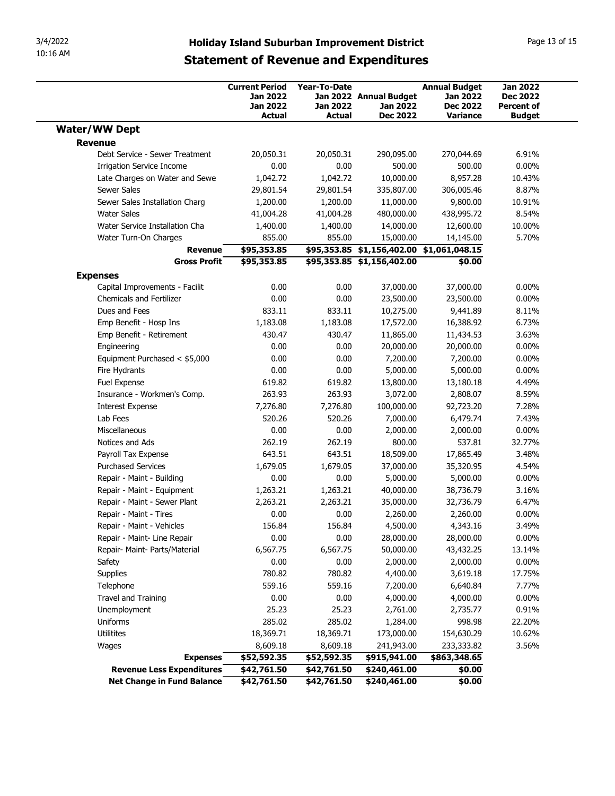| <b>Holiday Island Suburban Improvement District</b><br><b>Statement of Revenue and Expenditures</b> |                                                                       |                                                  |                                                                         |                                                                               |                                                                          |  |
|-----------------------------------------------------------------------------------------------------|-----------------------------------------------------------------------|--------------------------------------------------|-------------------------------------------------------------------------|-------------------------------------------------------------------------------|--------------------------------------------------------------------------|--|
|                                                                                                     | <b>Current Period</b><br>Jan 2022<br><b>Jan 2022</b><br><b>Actual</b> | <b>Year-To-Date</b><br><b>Jan 2022</b><br>Actual | Jan 2022 Annual Budget<br>Jan 2022<br><b>Dec 2022</b>                   | <b>Annual Budget</b><br><b>Jan 2022</b><br><b>Dec 2022</b><br><b>Variance</b> | <b>Jan 2022</b><br><b>Dec 2022</b><br><b>Percent of</b><br><b>Budget</b> |  |
| <b>Water/WW Dept</b>                                                                                |                                                                       |                                                  |                                                                         |                                                                               |                                                                          |  |
| <b>Revenue</b>                                                                                      |                                                                       |                                                  |                                                                         |                                                                               |                                                                          |  |
| Debt Service - Sewer Treatment                                                                      | 20,050.31                                                             | 20,050.31                                        | 290,095.00                                                              | 270,044.69                                                                    | 6.91%                                                                    |  |
| Irrigation Service Income                                                                           | 0.00                                                                  | 0.00                                             | 500.00                                                                  | 500.00                                                                        | $0.00\%$                                                                 |  |
| Late Charges on Water and Sewe                                                                      | 1,042.72                                                              | 1,042.72                                         | 10,000.00                                                               | 8,957.28                                                                      | 10.43%                                                                   |  |
| Sewer Sales                                                                                         | 29,801.54                                                             | 29,801.54                                        | 335,807.00                                                              | 306,005.46                                                                    | 8.87%                                                                    |  |
| Sewer Sales Installation Charg                                                                      | 1,200.00                                                              | 1,200.00                                         | 11,000.00                                                               | 9,800.00                                                                      | 10.91%<br>8.54%                                                          |  |
| Water Sales<br>Water Service Installation Cha                                                       | 41,004.28<br>1,400.00                                                 | 41,004.28<br>1,400.00                            | 480,000.00<br>14,000.00                                                 | 438,995.72<br>12,600.00                                                       | 10.00%                                                                   |  |
| Water Turn-On Charges                                                                               | 855.00                                                                | 855.00                                           | 15,000.00                                                               | 14,145.00                                                                     | 5.70%                                                                    |  |
| Revenue<br><b>Gross Profit</b>                                                                      | \$95,353.85<br>\$95,353.85                                            |                                                  | \$95,353.85 \$1,156,402.00 \$1,061,048.15<br>\$95,353.85 \$1,156,402.00 | \$0.00                                                                        |                                                                          |  |
| <b>Expenses</b>                                                                                     |                                                                       |                                                  |                                                                         |                                                                               |                                                                          |  |
| Capital Improvements - Facilit                                                                      | 0.00                                                                  | 0.00                                             | 37,000.00                                                               | 37,000.00                                                                     | $0.00\%$                                                                 |  |
| Chemicals and Fertilizer                                                                            | 0.00                                                                  | 0.00                                             | 23,500.00                                                               | 23,500.00                                                                     | $0.00\%$                                                                 |  |
| Dues and Fees                                                                                       | 833.11                                                                | 833.11                                           | 10,275.00                                                               | 9,441.89                                                                      | 8.11%                                                                    |  |
| Emp Benefit - Hosp Ins                                                                              | 1,183.08                                                              | 1,183.08                                         | 17,572.00                                                               | 16,388.92                                                                     | 6.73%                                                                    |  |
| Emp Benefit - Retirement                                                                            | 430.47                                                                | 430.47                                           | 11,865.00                                                               | 11,434.53                                                                     | 3.63%                                                                    |  |
| Engineering                                                                                         | 0.00                                                                  | 0.00                                             | 20,000.00                                                               | 20,000.00                                                                     | $0.00\%$                                                                 |  |
| Equipment Purchased < \$5,000                                                                       | 0.00                                                                  | 0.00                                             | 7,200.00                                                                | 7,200.00                                                                      | $0.00\%$                                                                 |  |
| Fire Hydrants                                                                                       | 0.00                                                                  | 0.00                                             | 5,000.00                                                                | 5,000.00                                                                      | $0.00\%$                                                                 |  |
| Fuel Expense<br>Insurance - Workmen's Comp.                                                         | 619.82<br>263.93                                                      | 619.82<br>263.93                                 | 13,800.00<br>3,072.00                                                   | 13,180.18<br>2,808.07                                                         | 4.49%<br>8.59%                                                           |  |
| <b>Interest Expense</b>                                                                             | 7,276.80                                                              | 7,276.80                                         | 100,000.00                                                              | 92,723.20                                                                     | 7.28%                                                                    |  |
| Lab Fees                                                                                            | 520.26                                                                | 520.26                                           | 7,000.00                                                                | 6,479.74                                                                      | 7.43%                                                                    |  |
| Miscellaneous                                                                                       | 0.00                                                                  | 0.00                                             | 2,000.00                                                                | 2,000.00                                                                      | $0.00\%$                                                                 |  |
| Notices and Ads                                                                                     | 262.19                                                                | 262.19                                           | 800.00                                                                  | 537.81                                                                        | 32.77%                                                                   |  |
| Payroll Tax Expense                                                                                 | 643.51                                                                | 643.51                                           | 18,509.00                                                               | 17,865.49                                                                     | 3.48%                                                                    |  |
| <b>Purchased Services</b>                                                                           | 1,679.05                                                              | 1,679.05                                         | 37,000.00                                                               | 35,320.95                                                                     | 4.54%                                                                    |  |
| Repair - Maint - Building                                                                           | 0.00                                                                  | 0.00                                             | 5,000.00                                                                | 5,000.00                                                                      | $0.00\%$                                                                 |  |
| Repair - Maint - Equipment                                                                          | 1,263.21                                                              | 1,263.21                                         | 40,000.00                                                               | 38,736.79                                                                     | 3.16%                                                                    |  |
| Repair - Maint - Sewer Plant                                                                        | 2,263.21                                                              | 2,263.21                                         | 35,000.00                                                               | 32,736.79                                                                     | 6.47%                                                                    |  |
| Repair - Maint - Tires                                                                              | 0.00                                                                  | 0.00                                             | 2,260.00                                                                | 2,260.00                                                                      | $0.00\%$                                                                 |  |
| Repair - Maint - Vehicles                                                                           | 156.84<br>0.00                                                        | 156.84<br>0.00                                   | 4,500.00                                                                | 4,343.16                                                                      | 3.49%<br>$0.00\%$                                                        |  |
| Repair - Maint- Line Repair<br>Repair- Maint- Parts/Material                                        | 6,567.75                                                              | 6,567.75                                         | 28,000.00<br>50,000.00                                                  | 28,000.00<br>43,432.25                                                        | 13.14%                                                                   |  |
| Safety                                                                                              | 0.00                                                                  | 0.00                                             | 2,000.00                                                                | 2,000.00                                                                      | $0.00\%$                                                                 |  |
| Supplies                                                                                            | 780.82                                                                | 780.82                                           | 4,400.00                                                                | 3,619.18                                                                      | 17.75%                                                                   |  |
| Telephone                                                                                           | 559.16                                                                | 559.16                                           | 7,200.00                                                                | 6,640.84                                                                      | 7.77%                                                                    |  |
| Travel and Training                                                                                 | 0.00                                                                  | 0.00                                             | 4,000.00                                                                | 4,000.00                                                                      | $0.00\%$                                                                 |  |
| Unemployment                                                                                        | 25.23                                                                 | 25.23                                            | 2,761.00                                                                | 2,735.77                                                                      | 0.91%                                                                    |  |
| Uniforms                                                                                            | 285.02                                                                | 285.02                                           | 1,284.00                                                                | 998.98                                                                        | 22.20%                                                                   |  |
| Utilitites                                                                                          | 18,369.71                                                             | 18,369.71                                        | 173,000.00                                                              | 154,630.29                                                                    | 10.62%                                                                   |  |
| Wages                                                                                               | 8,609.18                                                              | 8,609.18                                         | 241,943.00                                                              | 233,333.82                                                                    | 3.56%                                                                    |  |
| <b>Expenses</b>                                                                                     | \$52,592.35                                                           | \$52,592.35                                      | \$915,941.00                                                            | \$863,348.65                                                                  |                                                                          |  |
| <b>Revenue Less Expenditures</b>                                                                    | \$42,761.50                                                           | \$42,761.50                                      | \$240,461.00                                                            | \$0.00                                                                        |                                                                          |  |
| <b>Net Change in Fund Balance</b>                                                                   | \$42,761.50                                                           | \$42,761.50                                      | \$240,461.00                                                            | \$0.00                                                                        |                                                                          |  |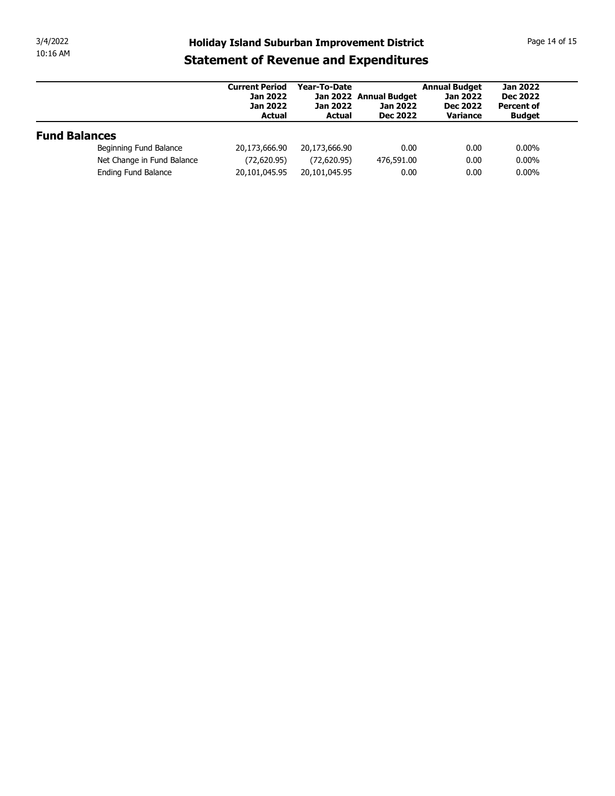| 3/4/2022             |                            |                                                                              |                                           |                                                              |                                                            | Page 14 of 15                                           |
|----------------------|----------------------------|------------------------------------------------------------------------------|-------------------------------------------|--------------------------------------------------------------|------------------------------------------------------------|---------------------------------------------------------|
| 10:16 AM             |                            | <b>Holiday Island Suburban Improvement District</b>                          |                                           |                                                              |                                                            |                                                         |
|                      |                            | <b>Statement of Revenue and Expenditures</b>                                 |                                           |                                                              |                                                            |                                                         |
|                      |                            | <b>Current Period</b><br><b>Jan 2022</b><br><b>Jan 2022</b><br><b>Actual</b> | Year-To-Date<br>Jan 2022<br><b>Actual</b> | Jan 2022 Annual Budget<br><b>Jan 2022</b><br><b>Dec 2022</b> | <b>Annual Budget</b><br><b>Jan 2022</b><br><b>Dec 2022</b> | <b>Jan 2022</b><br><b>Dec 2022</b><br><b>Percent of</b> |
|                      |                            |                                                                              |                                           |                                                              | Variance                                                   | <b>Budget</b>                                           |
| <b>Fund Balances</b> |                            |                                                                              |                                           |                                                              |                                                            |                                                         |
|                      | Beginning Fund Balance     | 20,173,666.90                                                                | 20,173,666.90                             | 0.00                                                         | 0.00                                                       | $0.00\%$                                                |
|                      | Net Change in Fund Balance | (72,620.95)                                                                  | (72,620.95)                               | 476,591.00                                                   | 0.00                                                       | $0.00\%$                                                |
|                      | Ending Fund Balance        | 20,101,045.95                                                                | 20,101,045.95                             | 0.00                                                         | 0.00                                                       | $0.00\%$                                                |
|                      |                            |                                                                              |                                           |                                                              |                                                            |                                                         |
|                      |                            |                                                                              |                                           |                                                              |                                                            |                                                         |
|                      |                            |                                                                              |                                           |                                                              |                                                            |                                                         |